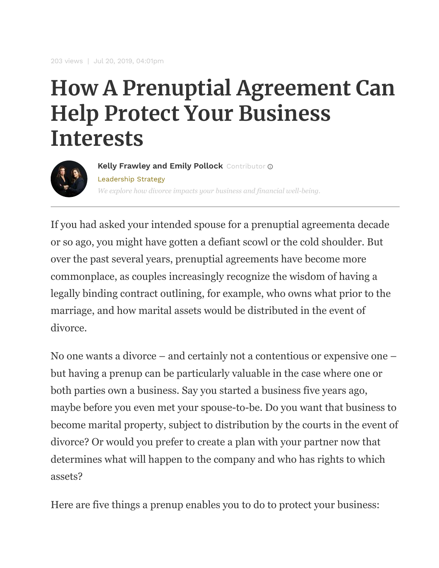## **How A Prenuptial Agreement Can Help Protect Your Business Interests**



[Leadership Strategy](https://www.forbes.com/leadership-strategy) *We explore how divorce impacts your business and financial well-being.* **[Kelly Frawley and Emily Pollock](https://www.forbes.com/sites/frawleypollock/)** Contributor

If you had asked your intended spouse for a prenuptial agreementa decade or so ago, you might have gotten a defiant scowl or the cold shoulder. But over the past several years, prenuptial agreements have become more commonplace, as couples increasingly recognize the wisdom of having a legally binding contract outlining, for example, who owns what prior to the marriage, and how marital assets would be distributed in the event of divorce.

No one wants a divorce – and certainly not a contentious or expensive one – but having a prenup can be particularly valuable in the case where one or both parties own a business. Say you started a business five years ago, maybe before you even met your spouse-to-be. Do you want that business to become marital property, subject to distribution by the courts in the event of divorce? Or would you prefer to create a plan with your partner now that determines what will happen to the company and who has rights to which assets?

Here are five things a prenup enables you to do to protect your business: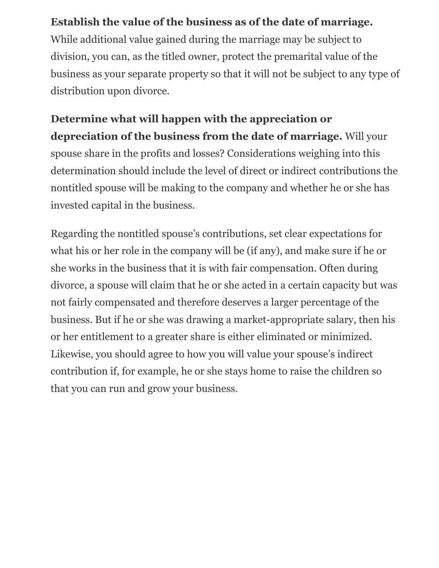## **Establish the value of the business as of the date of marriage.**

While additional value gained during the marriage may be subject to division, you can, as the titled owner, protect the premarital value of the business as your separate property so that it will not be subject to any type of distribution upon divorce.

**Determine what will happen with the appreciation or depreciation of the business from the date of marriage.** Will your spouse share in the profits and losses? Considerations weighing into this determination should include the level of direct or indirect contributions the nontitled spouse will be making to the company and whether he or she has invested capital in the business.

Regarding the nontitled spouse's contributions, set clear expectations for what his or her role in the company will be (if any), and make sure if he or she works in the business that it is with fair compensation. Often during divorce, a spouse will claim that he or she acted in a certain capacity but was not fairly compensated and therefore deserves a larger percentage of the business. But if he or she was drawing a market-appropriate salary, then his or her entitlement to a greater share is either eliminated or minimized. Likewise, you should agree to how you will value your spouse's indirect contribution if, for example, he or she stays home to raise the children so that you can run and grow your business.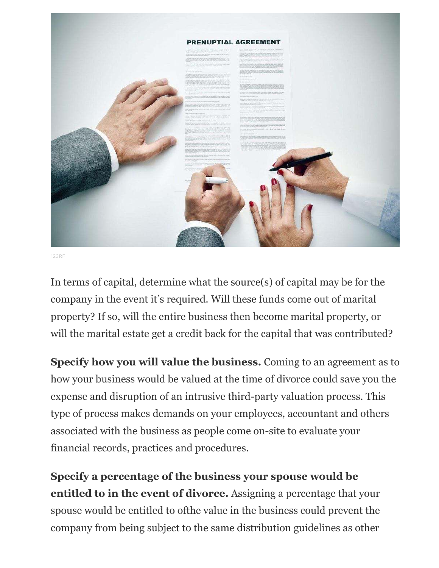

123RF

In terms of capital, determine what the source(s) of capital may be for the company in the event it's required. Will these funds come out of marital property? If so, will the entire business then become marital property, or will the marital estate get a credit back for the capital that was contributed?

**Specify how you will value the business.** Coming to an agreement as to how your business would be valued at the time of divorce could save you the expense and disruption of an intrusive third-party valuation process. This type of process makes demands on your employees, accountant and others associated with the business as people come on-site to evaluate your financial records, practices and procedures.

**Specify a percentage of the business your spouse would be entitled to in the event of divorce.** Assigning a percentage that your spouse would be entitled to ofthe value in the business could prevent the company from being subject to the same distribution guidelines as other